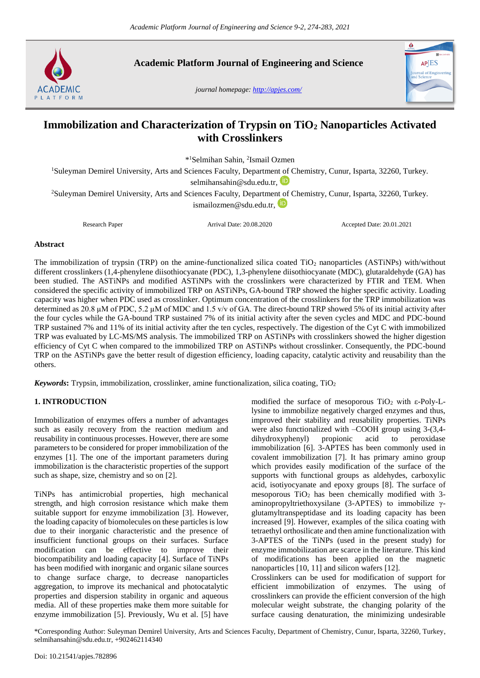

**Academic Platform Journal of Engineering and Science**

*journal homepage[: http://apjes.com/](http://apjes.com/)*



# **Immobilization and Characterization of Trypsin on TiO<sup>2</sup> Nanoparticles Activated with Crosslinkers**

\* <sup>1</sup>Selmihan Sahin, <sup>2</sup> Ismail Ozmen

<sup>1</sup>Suleyman Demirel University, Arts and Sciences Faculty, Department of Chemistry, Cunur, Isparta, 32260, Turkey. [selmihansahin@sdu.edu.tr,](mailto:selmihansahin@sdu.edu.tr)

<sup>2</sup>Suleyman Demirel University, Arts and Sciences Faculty, Department of Chemistry, Cunur, Isparta, 32260, Turkey. [ismailozmen@sdu.edu.tr,](mailto:ismailozmen@sdu.edu.tr)

Research Paper Arrival Date: 20.08.2020 Accepted Date: 20.01.2021

## **Abstract**

The immobilization of trypsin (TRP) on the amine-functionalized silica coated TiO<sub>2</sub> nanoparticles (ASTiNPs) with/without different crosslinkers (1,4-phenylene diisothiocyanate (PDC), 1,3-phenylene diisothiocyanate (MDC), glutaraldehyde (GA) has been studied. The ASTiNPs and modified ASTiNPs with the crosslinkers were characterized by FTIR and TEM. When considered the specific activity of immobilized TRP on ASTiNPs, GA-bound TRP showed the higher specific activity. Loading capacity was higher when PDC used as crosslinker. Optimum concentration of the crosslinkers for the TRP immobilization was determined as 20.8 µM of PDC, 5.2 µM of MDC and 1.5 v/v of GA. The direct-bound TRP showed 5% of its initial activity after the four cycles while the GA-bound TRP sustained 7% of its initial activity after the seven cycles and MDC and PDC-bound TRP sustained 7% and 11% of its initial activity after the ten cycles, respectively. The digestion of the Cyt C with immobilized TRP was evaluated by LC-MS/MS analysis. The immobilized TRP on ASTiNPs with crosslinkers showed the higher digestion efficiency of Cyt C when compared to the immobilized TRP on ASTiNPs without crosslinker. Consequently, the PDC-bound TRP on the ASTiNPs gave the better result of digestion efficiency, loading capacity, catalytic activity and reusability than the others.

*Keywords*: Trypsin, immobilization, crosslinker, amine functionalization, silica coating, TiO<sub>2</sub>

# **1. INTRODUCTION**

Immobilization of enzymes offers a number of advantages such as easily recovery from the reaction medium and reusability in continuous processes. However, there are some parameters to be considered for proper immobilization of the enzymes [1]. The one of the important parameters during immobilization is the characteristic properties of the support such as shape, size, chemistry and so on [2].

TiNPs has antimicrobial properties, high mechanical strength, and high corrosion resistance which make them suitable support for enzyme immobilization [3]. However, the loading capacity of biomolecules on these particles is low due to their inorganic characteristic and the presence of insufficient functional groups on their surfaces. Surface modification can be effective to improve their biocompatibility and loading capacity [4]. Surface of TiNPs has been modified with inorganic and organic silane sources to change surface charge, to decrease nanoparticles aggregation, to improve its mechanical and photocatalytic properties and dispersion stability in organic and aqueous media. All of these properties make them more suitable for enzyme immobilization [5]. Previously, Wu et al. [5] have modified the surface of mesoporous TiO<sub>2</sub> with  $\varepsilon$ -Poly-Llysine to immobilize negatively charged enzymes and thus, improved their stability and reusability properties. TiNPs were also functionalized with –COOH group using 3-(3,4 dihydroxyphenyl) propionic acid to peroxidase immobilization [6]. 3-APTES has been commonly used in covalent immobilization [7]. It has primary amino group which provides easily modification of the surface of the supports with functional groups as aldehydes, carboxylic acid, isotiyocyanate and epoxy groups [8]. The surface of mesoporous  $TiO<sub>2</sub>$  has been chemically modified with 3aminopropyltriethoxysilane (3-APTES) to immobilize γglutamyltranspeptidase and its loading capacity has been increased [9]. However, examples of the silica coating with tetraethyl orthosilicate and then amine functionalization with 3-APTES of the TiNPs (used in the present study) for enzyme immobilization are scarce in the literature. This kind of modifications has been applied on the magnetic nanoparticles [10, 11] and silicon wafers [12]. Crosslinkers can be used for modification of support for

efficient immobilization of enzymes. The using of crosslinkers can provide the efficient conversion of the high molecular weight substrate, the changing polarity of the surface causing denaturation, the minimizing undesirable

\*Corresponding Author: Suleyman Demirel University, Arts and Sciences Faculty, Department of Chemistry, Cunur, Isparta, 32260, Turkey, [selmihansahin@sdu.edu.tr,](mailto:selmihansahin@sdu.edu.tr) +902462114340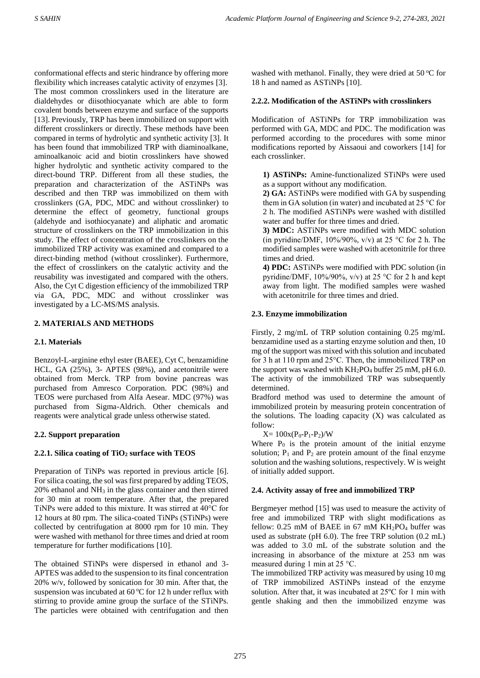conformational effects and steric hindrance by offering more flexibility which increases catalytic activity of enzymes [3]. The most common crosslinkers used in the literature are dialdehydes or diisothiocyanate which are able to form covalent bonds between enzyme and surface of the supports [13]. Previously, TRP has been immobilized on support with different crosslinkers or directly. These methods have been compared in terms of hydrolytic and synthetic activity [3]. It has been found that immobilized TRP with diaminoalkane, aminoalkanoic acid and biotin crosslinkers have showed higher hydrolytic and synthetic activity compared to the direct-bound TRP. Different from all these studies, the preparation and characterization of the ASTiNPs was described and then TRP was immobilized on them with crosslinkers (GA, PDC, MDC and without crosslinker) to determine the effect of geometry, functional groups (aldehyde and isothiocyanate) and aliphatic and aromatic structure of crosslinkers on the TRP immobilization in this study. The effect of concentration of the crosslinkers on the immobilized TRP activity was examined and compared to a direct-binding method (without crosslinker). Furthermore, the effect of crosslinkers on the catalytic activity and the reusability was investigated and compared with the others. Also, the Cyt C digestion efficiency of the immobilized TRP via GA, PDC, MDC and without crosslinker was investigated by a LC-MS/MS analysis.

# **2. MATERIALS AND METHODS**

# **2.1. Materials**

Benzoyl-L-arginine ethyl ester (BAEE), Cyt C, benzamidine HCL, GA (25%), 3- APTES (98%), and acetonitrile were obtained from Merck. TRP from bovine pancreas was purchased from Amresco Corporation. PDC (98%) and TEOS were purchased from Alfa Aesear. MDC (97%) was purchased from Sigma-Aldrich. Other chemicals and reagents were analytical grade unless otherwise stated.

# **2.2. Support preparation**

# **2.2.1. Silica coating of TiO<sup>2</sup> surface with TEOS**

Preparation of TiNPs was reported in previous article [6]. For silica coating, the sol was first prepared by adding TEOS, 20% ethanol and NH<sup>3</sup> in the glass container and then stirred for 30 min at room temperature. After that, the prepared TiNPs were added to this mixture. It was stirred at 40°C for 12 hours at 80 rpm. The silica-coated TiNPs (STiNPs) were collected by centrifugation at 8000 rpm for 10 min. They were washed with methanol for three times and dried at room temperature for further modifications [10].

The obtained STiNPs were dispersed in ethanol and 3- APTES was added to the suspension to its final concentration 20% w/v, followed by sonication for 30 min. After that, the suspension was incubated at  $60^{\circ}$ C for 12 h under reflux with stirring to provide amine group the surface of the STiNPs. The particles were obtained with centrifugation and then

washed with methanol. Finally, they were dried at  $50^{\circ}$ C for 18 h and named as ASTiNPs [10].

# **2.2.2. Modification of the ASTiNPs with crosslinkers**

Modification of ASTiNPs for TRP immobilization was performed with GA, MDC and PDC. The modification was performed according to the procedures with some minor modifications reported by Aissaoui and coworkers [14] for each crosslinker.

**1) ASTiNPs:** Amine-functionalized STiNPs were used as a support without any modification.

**2) GA:** ASTiNPs were modified with GA by suspending them in GA solution (in water) and incubated at 25 °C for 2 h. The modified ASTiNPs were washed with distilled water and buffer for three times and dried.

**3) MDC:** ASTiNPs were modified with MDC solution (in pyridine/DMF,  $10\%/90\%$ , v/v) at 25 °C for 2 h. The modified samples were washed with acetonitrile for three times and dried.

**4) PDC:** ASTiNPs were modified with PDC solution (in pyridine/DMF, 10%/90%, v/v) at 25 °C for 2 h and kept away from light. The modified samples were washed with acetonitrile for three times and dried.

# **2.3. Enzyme immobilization**

Firstly, 2 mg/mL of TRP solution containing 0.25 mg/mL benzamidine used as a starting enzyme solution and then, 10 mg of the support was mixed with this solution and incubated for 3 h at 110 rpm and 25°C. Then, the immobilized TRP on the support was washed with  $KH_2PO_4$  buffer 25 mM, pH 6.0. The activity of the immobilized TRP was subsequently determined.

Bradford method was used to determine the amount of immobilized protein by measuring protein concentration of the solutions. The loading capacity  $(X)$  was calculated as follow:

 $X= 100x(P_0-P_1-P_2)/W$ 

Where  $P_0$  is the protein amount of the initial enzyme solution;  $P_1$  and  $P_2$  are protein amount of the final enzyme solution and the washing solutions, respectively. W is weight of initially added support.

# **2.4. Activity assay of free and immobilized TRP**

Bergmeyer method [15] was used to measure the activity of free and immobilized TRP with slight modifications as fellow:  $0.25$  mM of BAEE in 67 mM KH<sub>2</sub>PO<sub>4</sub> buffer was used as substrate (pH 6.0). The free TRP solution (0.2 mL) was added to 3.0 mL of the substrate solution and the increasing in absorbance of the mixture at 253 nm was measured during 1 min at 25 °C.

The immobilized TRP activity was measured by using 10 mg of TRP immobilized ASTiNPs instead of the enzyme solution. After that, it was incubated at 25ºC for 1 min with gentle shaking and then the immobilized enzyme was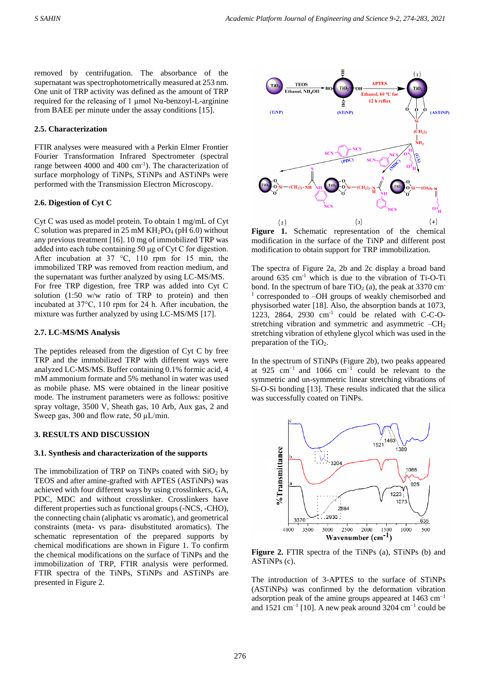removed by centrifugation. The absorbance of the supernatant was spectrophotometrically measured at 253 nm. One unit of TRP activity was defined as the amount of TRP required for the releasing of 1 μmol Nα-benzoyl-L-arginine from BAEE per minute under the assay conditions [15].

## **2.5. Characterization**

FTIR analyses were measured with a Perkin Elmer Frontier Fourier Transformation Infrared Spectrometer (spectral range between  $4000$  and  $400 \text{ cm}^{-1}$ ). The characterization of surface morphology of TiNPs, STiNPs and ASTiNPs were performed with the Transmission Electron Microscopy.

## **2.6. Digestion of Cyt C**

Cyt C was used as model protein. To obtain 1 mg/mL of Cyt C solution was prepared in 25 mM  $KH_2PO_4$  (pH 6.0) without any previous treatment [16]. 10 mg of immobilized TRP was added into each tube containing 50 μg of Cyt C for digestion. After incubation at 37 °C, 110 rpm for 15 min, the immobilized TRP was removed from reaction medium, and the supernatant was further analyzed by using LC-MS/MS. For free TRP digestion, free TRP was added into Cyt C solution (1:50 w/w ratio of TRP to protein) and then incubated at 37°C, 110 rpm for 24 h. After incubation, the mixture was further analyzed by using LC-MS/MS [17].

## **2.7. LC-MS/MS Analysis**

The peptides released from the digestion of Cyt C by free TRP and the immobilized TRP with different ways were analyzed LC-MS/MS. Buffer containing 0.1% formic acid, 4 mM ammonium formate and 5% methanol in water was used as mobile phase. MS were obtained in the linear positive mode. The instrument parameters were as follows: positive spray voltage, 3500 V, Sheath gas, 10 Arb, Aux gas, 2 and Sweep gas, 300 and flow rate, 50  $\mu$ L/min.

#### **3. RESULTS AND DISCUSSION**

#### **3.1. Synthesis and characterization of the supports**

The immobilization of TRP on TiNPs coated with  $SiO<sub>2</sub>$  by TEOS and after amine-grafted with APTES (ASTiNPs) was achieved with four different ways by using crosslinkers, GA, PDC, MDC and without crosslinker. Crosslinkers have different properties such as functional groups(-NCS, -CHO), the connecting chain (aliphatic vs aromatic), and geometrical constraints (meta- vs para- disubstituted aromatics). The schematic representation of the prepared supports by chemical modifications are shown in Figure 1. To confirm the chemical modifications on the surface of TiNPs and the immobilization of TRP, FTIR analysis were performed. FTIR spectra of the TiNPs, STiNPs and ASTiNPs are presented in Figure 2.



**Figure 1.** Schematic representation of the chemical modification in the surface of the TiNP and different post modification to obtain support for TRP immobilization.

The spectra of Figure 2a, 2b and 2c display a broad band around  $635 \text{ cm}^{-1}$  which is due to the vibration of Ti-O-Ti bond. In the spectrum of bare  $TiO<sub>2</sub>$  (a), the peak at 3370 cm<sup>-</sup> 1 corresponded to –OH groups of weakly chemisorbed and physisorbed water [18]. Also, the absorption bands at 1073, 1223, 2864, 2930 cm<sup>-1</sup> could be related with C-C-Ostretching vibration and symmetric and asymmetric –CH<sup>2</sup> stretching vibration of ethylene glycol which was used in the preparation of the TiO<sub>2</sub>.

In the spectrum of STiNPs (Figure 2b), two peaks appeared at 925  $cm^{-1}$  and 1066  $cm^{-1}$  could be relevant to the symmetric and un-symmetric linear stretching vibrations of Si-O-Si bonding [13]. These results indicated that the silica was successfully coated on TiNPs.



**Figure 2.** FTIR spectra of the TiNPs (a), STiNPs (b) and ASTiNPs (c).

The introduction of 3-APTES to the surface of STiNPs (ASTiNPs) was confirmed by the deformation vibration adsorption peak of the amine groups appeared at  $1463 \text{ cm}^{-1}$ and 1521 cm<sup>-1</sup> [10]. A new peak around 3204 cm<sup>-1</sup> could be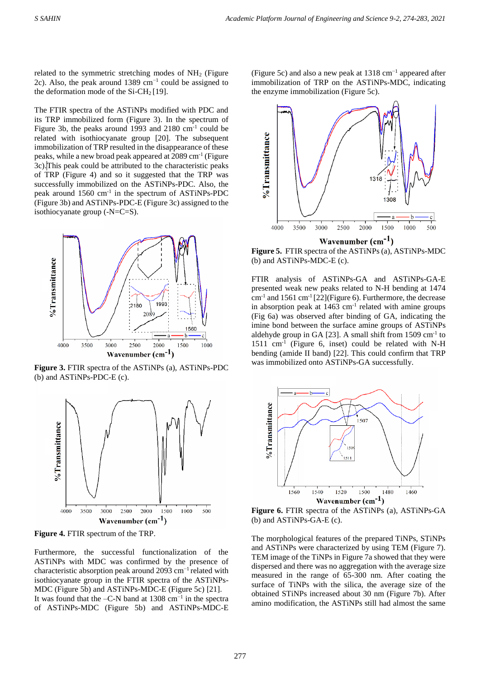related to the symmetric stretching modes of  $NH<sub>2</sub>$  (Figure 2c). Also, the peak around 1389 cm<sup>-1</sup> could be assigned to the deformation mode of the  $Si-CH_2[19]$ .

The FTIR spectra of the ASTiNPs modified with PDC and its TRP immobilized form (Figure 3). In the spectrum of Figure 3b, the peaks around 1993 and 2180 cm<sup>-1</sup> could be related with isothiocyanate group [20]. The subsequent immobilization of TRP resulted in the disappearance of these peaks, while a new broad peak appeared at 2089 cm<sup>-1</sup> (Figure 3c). This peak could be attributed to the characteristic peaks of TRP (Figure 4) and so it suggested that the TRP was successfully immobilized on the ASTiNPs-PDC. Also, the peak around 1560 cm<sup>-1</sup> in the spectrum of ASTiNPs-PDC (Figure 3b) and ASTiNPs-PDC-E (Figure 3c) assigned to the isothiocyanate group (-N=C=S).



**Figure 3.** FTIR spectra of the ASTiNPs (a), ASTiNPs-PDC (b) and ASTiNPs-PDC-E (c).



**Figure 4.** FTIR spectrum of the TRP.

Furthermore, the successful functionalization of the ASTiNPs with MDC was confirmed by the presence of characteristic absorption peak around 2093 cm−1 related with isothiocyanate group in the FTIR spectra of the ASTiNPs-MDC (Figure 5b) and ASTiNPs-MDC-E (Figure 5c) [21]. It was found that the  $-C-N$  band at 1308 cm<sup>-1</sup> in the spectra of ASTiNPs-MDC (Figure 5b) and ASTiNPs-MDC-E

(Figure 5c) and also a new peak at 1318 cm−1 appeared after immobilization of TRP on the ASTiNPs-MDC, indicating the enzyme immobilization (Figure 5c).



**Figure 5.** FTIR spectra of the ASTiNPs (a), ASTiNPs-MDC (b) and ASTiNPs-MDC-E (c).

FTIR analysis of ASTiNPs-GA and ASTiNPs-GA-E presented weak new peaks related to N-H bending at 1474  $cm<sup>-1</sup>$  and 1561  $cm<sup>-1</sup>$  [22](Figure 6). Furthermore, the decrease in absorption peak at  $1463 \text{ cm}^{-1}$  related with amine groups (Fig 6a) was observed after binding of GA, indicating the imine bond between the surface amine groups of ASTiNPs aldehyde group in GA [23]. A small shift from 1509 cm<sup>-1</sup> to 1511 cm-1 (Figure 6, inset) could be related with N-H bending (amide II band) [22]. This could confirm that TRP was immobilized onto ASTiNPs-GA successfully.



**Figure 6.** FTIR spectra of the ASTiNPs (a), ASTiNPs-GA (b) and ASTiNPs-GA-E (c).

The morphological features of the prepared TiNPs, STiNPs and ASTiNPs were characterized by using TEM (Figure 7). TEM image of the TiNPs in Figure 7a showed that they were dispersed and there was no aggregation with the average size measured in the range of 65-300 nm. After coating the surface of TiNPs with the silica, the average size of the obtained STiNPs increased about 30 nm (Figure 7b). After amino modification, the ASTiNPs still had almost the same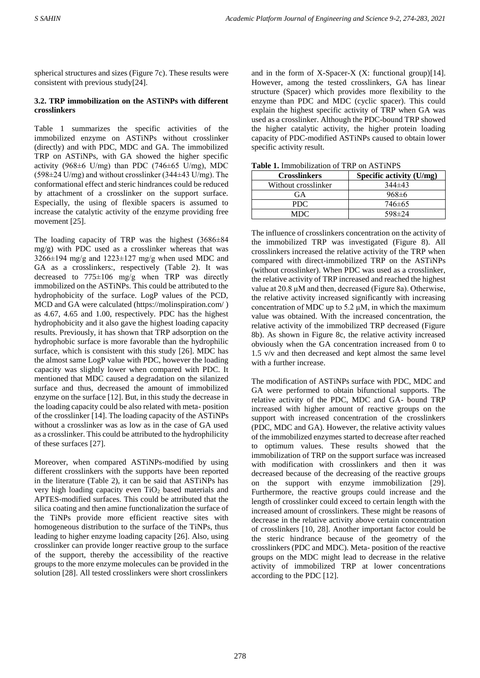spherical structures and sizes (Figure 7c). These results were consistent with previous study[24].

# **3.2. TRP immobilization on the ASTiNPs with different crosslinkers**

Table 1 summarizes the specific activities of the immobilized enzyme on ASTiNPs without crosslinker (directly) and with PDC, MDC and GA. The immobilized TRP on ASTiNPs, with GA showed the higher specific activity (968 $\pm$ 6 U/mg) than PDC (746 $\pm$ 65 U/mg), MDC (598±24 U/mg) and without crosslinker (344±43 U/mg). The conformational effect and steric hindrances could be reduced by attachment of a crosslinker on the support surface. Especially, the using of flexible spacers is assumed to increase the catalytic activity of the enzyme providing free movement [25].

The loading capacity of TRP was the highest (3686±84 mg/g) with PDC used as a crosslinker whereas that was  $3266 \pm 194$  mg/g and  $1223 \pm 127$  mg/g when used MDC and GA as a crosslinkers:, respectively (Table 2). It was decreased to 775±106 mg/g when TRP was directly immobilized on the ASTiNPs. This could be attributed to the hydrophobicity of the surface. LogP values of the PCD, MCD and GA were calculated [\(https://molinspiration.com/](https://molinspiration.com/) ) as 4.67, 4.65 and 1.00, respectively. PDC has the highest hydrophobicity and it also gave the highest loading capacity results. Previously, it has shown that TRP adsorption on the hydrophobic surface is more favorable than the hydrophilic surface, which is consistent with this study [26]. MDC has the almost same LogP value with PDC, however the loading capacity was slightly lower when compared with PDC. It mentioned that MDC caused a degradation on the silanized surface and thus, decreased the amount of immobilized enzyme on the surface [12]. But, in this study the decrease in the loading capacity could be also related with meta- position of the crosslinker [14]. The loading capacity of the ASTiNPs without a crosslinker was as low as in the case of GA used as a crosslinker. This could be attributed to the hydrophilicity of these surfaces [27].

Moreover, when compared ASTiNPs-modified by using different crosslinkers with the supports have been reported in the literature (Table 2), it can be said that ASTiNPs has very high loading capacity even  $TiO<sub>2</sub>$  based materials and APTES-modified surfaces. This could be attributed that the silica coating and then amine functionalization the surface of the TiNPs provide more efficient reactive sites with homogeneous distribution to the surface of the TiNPs, thus leading to higher enzyme loading capacity [26]. Also, using crosslinker can provide longer reactive group to the surface of the support, thereby the accessibility of the reactive groups to the more enzyme molecules can be provided in the solution [28]. All tested crosslinkers were short crosslinkers

and in the form of X-Spacer-X (X: functional group)[14]. However, among the tested crosslinkers, GA has linear structure (Spacer) which provides more flexibility to the enzyme than PDC and MDC (cyclic spacer). This could explain the highest specific activity of TRP when GA was used as a crosslinker. Although the PDC-bound TRP showed the higher catalytic activity, the higher protein loading capacity of PDC-modified ASTiNPs caused to obtain lower specific activity result.

| <b>Lable 1.</b> Inhibionization of TIXI on ASTIIN S |                          |  |  |  |
|-----------------------------------------------------|--------------------------|--|--|--|
| <b>Crosslinkers</b>                                 | Specific activity (U/mg) |  |  |  |
| Without crosslinker                                 | $344\pm43$               |  |  |  |
| GA                                                  | $968 \pm 6$              |  |  |  |
| PDC.                                                | $746 \pm 65$             |  |  |  |
| MDC.                                                | $598 \pm 24$             |  |  |  |

**Table 1.** Immobilization of TRP on ASTiNPS

The influence of crosslinkers concentration on the activity of the immobilized TRP was investigated (Figure 8). All crosslinkers increased the relative activity of the TRP when compared with direct-immobilized TRP on the ASTiNPs (without crosslinker). When PDC was used as a crosslinker, the relative activity of TRP increased and reached the highest value at 20.8 µM and then, decreased (Figure 8a). Otherwise, the relative activity increased significantly with increasing concentration of MDC up to 5.2  $\mu$ M, in which the maximum value was obtained. With the increased concentration, the relative activity of the immobilized TRP decreased (Figure 8b). As shown in Figure 8c, the relative activity increased obviously when the GA concentration increased from 0 to 1.5 v/v and then decreased and kept almost the same level with a further increase.

The modification of ASTiNPs surface with PDC, MDC and GA were performed to obtain bifunctional supports. The relative activity of the PDC, MDC and GA- bound TRP increased with higher amount of reactive groups on the support with increased concentration of the crosslinkers (PDC, MDC and GA). However, the relative activity values of the immobilized enzymes started to decrease after reached to optimum values. These results showed that the immobilization of TRP on the support surface was increased with modification with crosslinkers and then it was decreased because of the decreasing of the reactive groups on the support with enzyme immobilization [29]. Furthermore, the reactive groups could increase and the length of crosslinker could exceed to certain length with the increased amount of crosslinkers. These might be reasons of decrease in the relative activity above certain concentration of crosslinkers [10, 28]. Another important factor could be the steric hindrance because of the geometry of the crosslinkers (PDC and MDC). Meta- position of the reactive groups on the MDC might lead to decrease in the relative activity of immobilized TRP at lower concentrations according to the PDC [12].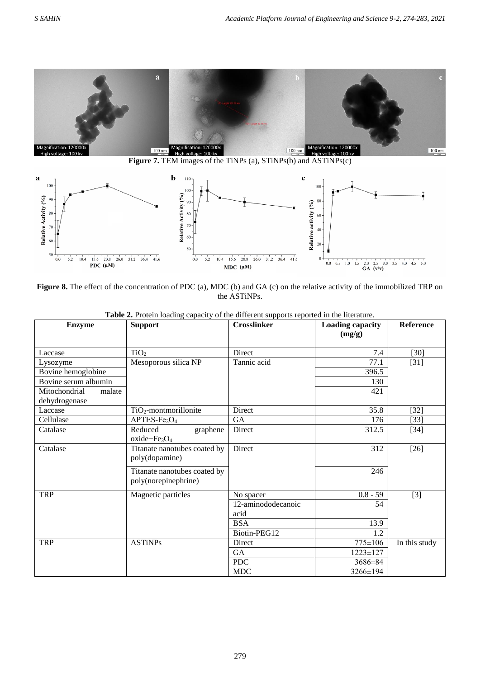



**Figure 8.** The effect of the concentration of PDC (a), MDC (b) and GA (c) on the relative activity of the immobilized TRP on the ASTiNPs.

| <b>Enzyme</b>           | <b>Support</b>                                              | <b>Crosslinker</b>         | <b>Loading capacity</b><br>(mg/g) | Reference     |
|-------------------------|-------------------------------------------------------------|----------------------------|-----------------------------------|---------------|
| Laccase                 | TiO <sub>2</sub>                                            | Direct                     | 7.4                               | $[30]$        |
| Lysozyme                | Mesoporous silica NP                                        | Tannic acid                | 77.1                              | $[31]$        |
| Bovine hemoglobine      |                                                             |                            | 396.5                             |               |
| Bovine serum albumin    |                                                             |                            | 130                               |               |
| Mitochondrial<br>malate |                                                             |                            | 421                               |               |
| dehydrogenase           |                                                             |                            |                                   |               |
| Laccase                 | $TiO2$ -montmorillonite                                     | <b>Direct</b>              | 35.8                              | $[32]$        |
| Cellulase               | APTES-Fe <sub>3</sub> O <sub>4</sub>                        | <b>GA</b>                  | 176                               | $[33]$        |
| Catalase                | Reduced<br>graphene<br>oxide-Fe <sub>3</sub> O <sub>4</sub> | Direct                     | 312.5                             | $[34]$        |
| Catalase                | Titanate nanotubes coated by<br>poly(dopamine)              | Direct                     | 312                               | $[26]$        |
|                         | Titanate nanotubes coated by<br>poly(norepinephrine)        |                            | 246                               |               |
| <b>TRP</b>              | Magnetic particles                                          | No spacer                  | $0.8 - 59$                        | $[3]$         |
|                         |                                                             | 12-aminododecanoic<br>acid | 54                                |               |
|                         |                                                             | <b>BSA</b>                 | 13.9                              |               |
|                         |                                                             | Biotin-PEG12               | 1.2                               |               |
| <b>TRP</b>              | <b>ASTINPs</b>                                              | Direct                     | 775±106                           | In this study |
|                         |                                                             | GA                         | $1223 \pm 127$                    |               |
|                         |                                                             | <b>PDC</b>                 | 3686±84                           |               |
|                         |                                                             | <b>MDC</b>                 | $3266 \pm 194$                    |               |

**Table 2.** Protein loading capacity of the different supports reported in the literature.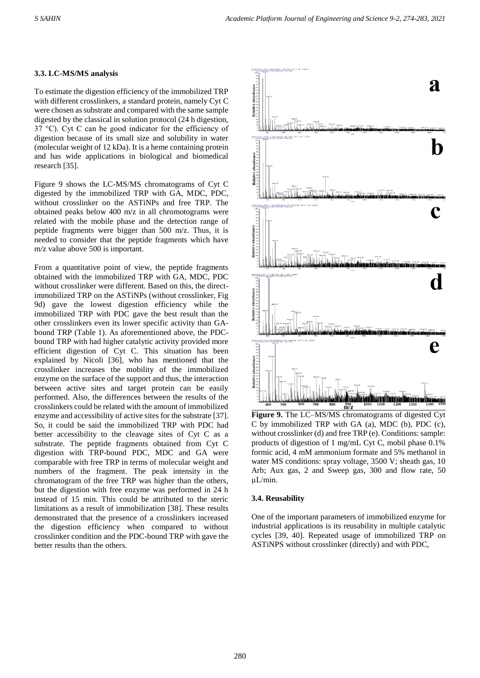#### **3.3. LC-MS/MS analysis**

To estimate the digestion efficiency of the immobilized TRP with different crosslinkers, a standard protein, namely Cyt C were chosen as substrate and compared with the same sample digested by the classical in solution protocol (24 h digestion, 37 °C). Cyt C can be good indicator for the efficiency of digestion because of its small size and solubility in water (molecular weight of 12 kDa). It is a heme containing protein and has wide applications in biological and biomedical research [35].

Figure 9 shows the LC-MS/MS chromatograms of Cyt C digested by the immobilized TRP with GA, MDC, PDC, without crosslinker on the ASTiNPs and free TRP. The obtained peaks below 400 m/z in all chromotograms were related with the mobile phase and the detection range of peptide fragments were bigger than 500 m/z. Thus, it is needed to consider that the peptide fragments which have m/z value above 500 is important.

From a quantitative point of view, the peptide fragments obtained with the immobilized TRP with GA, MDC, PDC without crosslinker were different. Based on this, the directimmobilized TRP on the ASTiNPs (without crosslinker, Fig 9d) gave the lowest digestion efficiency while the immobilized TRP with PDC gave the best result than the other crosslinkers even its lower specific activity than GAbound TRP (Table 1). As aforementioned above, the PDCbound TRP with had higher catalytic activity provided more efficient digestion of Cyt C. This situation has been explained by Nicoli [36], who has mentioned that the crosslinker increases the mobility of the immobilized enzyme on the surface of the support and thus, the interaction between active sites and target protein can be easily performed. Also, the differences between the results of the crosslinkers could be related with the amount of immobilized enzyme and accessibility of active sites for the substrate [37]. So, it could be said the immobilized TRP with PDC had better accessibility to the cleavage sites of Cyt C as a substrate. The peptide fragments obtained from Cyt C digestion with TRP-bound PDC, MDC and GA were comparable with free TRP in terms of molecular weight and numbers of the fragment. The peak intensity in the chromatogram of the free TRP was higher than the others, but the digestion with free enzyme was performed in 24 h instead of 15 min. This could be attributed to the steric limitations as a result of immobilization [38]. These results demonstrated that the presence of a crosslinkers increased the digestion efficiency when compared to without crosslinker condition and the PDC-bound TRP with gave the better results than the others.



**Figure 9.** The LC–MS/MS chromatograms of digested Cyt C by immobilized TRP with GA (a), MDC (b), PDC (c), without crosslinker (d) and free TRP (e). Conditions: sample: products of digestion of 1 mg/mL Cyt C, mobil phase 0.1% formic acid, 4 mM ammonium formate and 5% methanol in water MS conditions: spray voltage, 3500 V; sheath gas, 10 Arb; Aux gas, 2 and Sweep gas, 300 and flow rate, 50 µL/min.

#### **3.4. Reusability**

One of the important parameters of immobilized enzyme for industrial applications is its reusability in multiple catalytic cycles [39, 40]. Repeated usage of immobilized TRP on ASTiNPS without crosslinker (directly) and with PDC,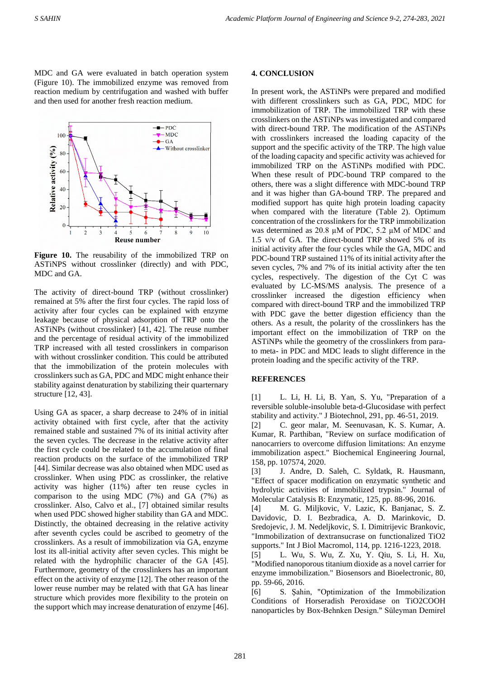MDC and GA were evaluated in batch operation system (Figure 10). The immobilized enzyme was removed from reaction medium by centrifugation and washed with buffer and then used for another fresh reaction medium.



**Figure 10.** The reusability of the immobilized TRP on ASTiNPS without crosslinker (directly) and with PDC, MDC and GA.

The activity of direct-bound TRP (without crosslinker) remained at 5% after the first four cycles. The rapid loss of activity after four cycles can be explained with enzyme leakage because of physical adsorption of TRP onto the ASTiNPs (without crosslinker) [41, 42]. The reuse number and the percentage of residual activity of the immobilized TRP increased with all tested crosslinkers in comparison with without crosslinker condition. This could be attributed that the immobilization of the protein molecules with crosslinkers such as GA, PDC and MDC might enhance their stability against denaturation by stabilizing their quarternary structure [12, 43].

Using GA as spacer, a sharp decrease to 24% of in initial activity obtained with first cycle, after that the activity remained stable and sustained 7% of its initial activity after the seven cycles. The decrease in the relative activity after the first cycle could be related to the accumulation of final reaction products on the surface of the immobilized TRP [44]. Similar decrease was also obtained when MDC used as crosslinker. When using PDC as crosslinker, the relative activity was higher (11%) after ten reuse cycles in comparison to the using MDC (7%) and GA (7%) as crosslinker. Also, Calvo et al., [7] obtained similar results when used PDC showed higher stability than GA and MDC. Distinctly, the obtained decreasing in the relative activity after seventh cycles could be ascribed to geometry of the crosslinkers. As a result of immobilization via GA, enzyme lost its all-initial activity after seven cycles. This might be related with the hydrophilic character of the GA [45]. Furthermore, geometry of the crosslinkers has an important effect on the activity of enzyme [12]. The other reason of the lower reuse number may be related with that GA has linear structure which provides more flexibility to the protein on the support which may increase denaturation of enzyme [46].

## **4. CONCLUSION**

In present work, the ASTiNPs were prepared and modified with different crosslinkers such as GA, PDC, MDC for immobilization of TRP. The immobilized TRP with these crosslinkers on the ASTiNPs was investigated and compared with direct-bound TRP. The modification of the ASTiNPs with crosslinkers increased the loading capacity of the support and the specific activity of the TRP. The high value of the loading capacity and specific activity was achieved for immobilized TRP on the ASTiNPs modified with PDC. When these result of PDC-bound TRP compared to the others, there was a slight difference with MDC-bound TRP and it was higher than GA-bound TRP. The prepared and modified support has quite high protein loading capacity when compared with the literature (Table 2). Optimum concentration of the crosslinkers for the TRP immobilization was determined as 20.8 µM of PDC, 5.2 µM of MDC and 1.5 v/v of GA. The direct-bound TRP showed 5% of its initial activity after the four cycles while the GA, MDC and PDC-bound TRP sustained 11% of its initial activity after the seven cycles, 7% and 7% of its initial activity after the ten cycles, respectively. The digestion of the Cyt C was evaluated by LC-MS/MS analysis. The presence of a crosslinker increased the digestion efficiency when compared with direct-bound TRP and the immobilized TRP with PDC gave the better digestion efficiency than the others. As a result, the polarity of the crosslinkers has the important effect on the immobilization of TRP on the ASTiNPs while the geometry of the crosslinkers from parato meta- in PDC and MDC leads to slight difference in the protein loading and the specific activity of the TRP.

# **REFERENCES**

[1] L. Li, H. Li, B. Yan, S. Yu, "Preparation of a reversible soluble-insoluble beta-d-Glucosidase with perfect stability and activity." J Biotechnol, 291, pp. 46-51, 2019.

[2] C. geor malar, M. Seenuvasan, K. S. Kumar, A. Kumar, R. Parthiban, "Review on surface modification of nanocarriers to overcome diffusion limitations: An enzyme immobilization aspect." Biochemical Engineering Journal, 158, pp. 107574, 2020.

[3] J. Andre, D. Saleh, C. Syldatk, R. Hausmann, "Effect of spacer modification on enzymatic synthetic and hydrolytic activities of immobilized trypsin." Journal of Molecular Catalysis B: Enzymatic, 125, pp. 88-96, 2016.

[4] M. G. Miljkovic, V. Lazic, K. Banjanac, S. Z. Davidovic, D. I. Bezbradica, A. D. Marinkovic, D. Sredojevic, J. M. Nedeljkovic, S. I. Dimitrijevic Brankovic, "Immobilization of dextransucrase on functionalized TiO2 supports." Int J Biol Macromol, 114, pp. 1216-1223, 2018.

[5] L. Wu, S. Wu, Z. Xu, Y. Qiu, S. Li, H. Xu, "Modified nanoporous titanium dioxide as a novel carrier for enzyme immobilization." Biosensors and Bioelectronic, 80, pp. 59-66, 2016.

[6] S. Şahin, "Optimization of the Immobilization Conditions of Horseradish Peroxidase on TiO2COOH nanoparticles by Box-Behnken Design." Süleyman Demirel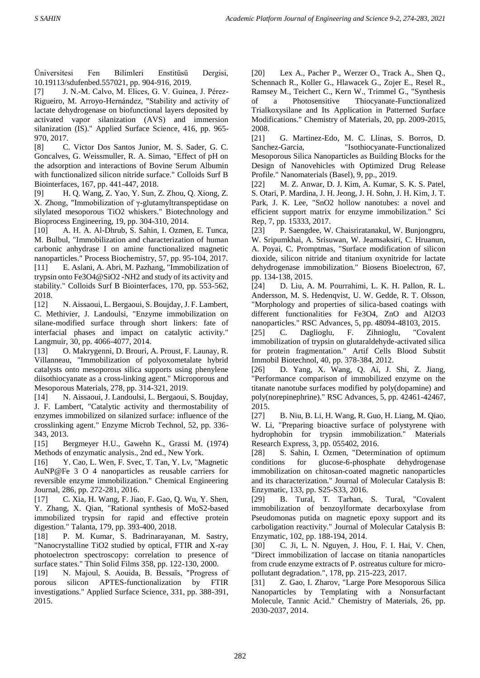Üniversitesi Fen Bilimleri Enstitüsü Dergisi, 10.19113/sdufenbed.557021, pp. 904-916, 2019.

[7] J. N.-M. Calvo, M. Elices, G. V. Guinea, J. Pérez-Rigueiro, M. Arroyo-Hernández, "Stability and activity of lactate dehydrogenase on biofunctional layers deposited by activated vapor silanization (AVS) and immersion silanization (IS)." Applied Surface Science, 416, pp. 965- 970, 2017.

[8] C. Victor Dos Santos Junior, M. S. Sader, G. C. Goncalves, G. Weissmuller, R. A. Simao, "Effect of pH on the adsorption and interactions of Bovine Serum Albumin with functionalized silicon nitride surface." Colloids Surf B Biointerfaces, 167, pp. 441-447, 2018.

[9] H. Q. Wang, Z. Yao, Y. Sun, Z. Zhou, Q. Xiong, Z. X. Zhong, "Immobilization of γ-glutamyltranspeptidase on silylated mesoporous TiO2 whiskers." Biotechnology and Bioprocess Engineering, 19, pp. 304-310, 2014.

[10] A. H. A. Al-Dhrub, S. Sahin, I. Ozmen, E. Tunca, M. Bulbul, "Immobilization and characterization of human carbonic anhydrase I on amine functionalized magnetic nanoparticles." Process Biochemistry, 57, pp. 95-104, 2017. [11] E. Aslani, A. Abri, M. Pazhang, "Immobilization of trypsin onto Fe3O4@SiO2 -NH2 and study of its activity and stability." Colloids Surf B Biointerfaces, 170, pp. 553-562, 2018.

[12] N. Aissaoui, L. Bergaoui, S. Boujday, J. F. Lambert, C. Methivier, J. Landoulsi, "Enzyme immobilization on silane-modified surface through short linkers: fate of interfacial phases and impact on catalytic activity." Langmuir, 30, pp. 4066-4077, 2014.

[13] O. Makrygenni, D. Brouri, A. Proust, F. Launay, R. Villanneau, "Immobilization of polyoxometalate hybrid catalysts onto mesoporous silica supports using phenylene diisothiocyanate as a cross-linking agent." Microporous and Mesoporous Materials, 278, pp. 314-321, 2019.

[14] N. Aissaoui, J. Landoulsi, L. Bergaoui, S. Boujday, J. F. Lambert, "Catalytic activity and thermostability of enzymes immobilized on silanized surface: influence of the crosslinking agent." Enzyme Microb Technol, 52, pp. 336- 343, 2013.

[15] Bergmeyer H.U., Gawehn K., Grassi M. (1974) Methods of enzymatic analysis., 2nd ed., New York.

[16] Y. Cao, L. Wen, F. Svec, T. Tan, Y. Lv, "Magnetic AuNP@Fe 3 O 4 nanoparticles as reusable carriers for reversible enzyme immobilization." Chemical Engineering Journal, 286, pp. 272-281, 2016.

[17] C. Xia, H. Wang, F. Jiao, F. Gao, Q. Wu, Y. Shen, Y. Zhang, X. Qian, "Rational synthesis of MoS2-based immobilized trypsin for rapid and effective protein digestion." Talanta, 179, pp. 393-400, 2018.

[18] P. M. Kumar, S. Badrinarayanan, M. Sastry, "Nanocrystalline TiO2 studied by optical, FTIR and X-ray photoelectron spectroscopy: correlation to presence of surface states." Thin Solid Films 358, pp. 122-130, 2000.

[19] N. Majoul, S. Aouida, B. Bessaïs, "Progress of porous silicon APTES-functionalization by FTIR investigations." Applied Surface Science, 331, pp. 388-391, 2015.

[20] Lex A., Pacher P., Werzer O., Track A., Shen Q., Schennach R., Koller G., Hlawacek G., Zojer E., Resel R., Ramsey M., Teichert C., Kern W., Trimmel G., "Synthesis of a Photosensitive Thiocyanate-Functionalized Trialkoxysilane and Its Application in Patterned Surface Modifications." Chemistry of Materials, 20, pp. 2009-2015, 2008.

[21] G. Martinez-Edo, M. C. Llinas, S. Borros, D. Sanchez-Garcia, "Isothiocyanate-Functionalized Mesoporous Silica Nanoparticles as Building Blocks for the Design of Nanovehicles with Optimized Drug Release Profile." Nanomaterials (Basel), 9, pp., 2019.

[22] M. Z. Anwar, D. J. Kim, A. Kumar, S. K. S. Patel, S. Otari, P. Mardina, J. H. Jeong, J. H. Sohn, J. H. Kim, J. T. Park, J. K. Lee, "SnO2 hollow nanotubes: a novel and efficient support matrix for enzyme immobilization." Sci Rep, 7, pp. 15333, 2017.

[23] P. Saengdee, W. Chaisriratanakul, W. Bunjongpru, W. Sripumkhai, A. Srisuwan, W. Jeamsaksiri, C. Hruanun, A. Poyai, C. Promptmas, "Surface modification of silicon dioxide, silicon nitride and titanium oxynitride for lactate dehydrogenase immobilization." Biosens Bioelectron, 67, pp. 134-138, 2015.

[24] D. Liu, A. M. Pourrahimi, L. K. H. Pallon, R. L. Andersson, M. S. Hedenqvist, U. W. Gedde, R. T. Olsson, "Morphology and properties of silica-based coatings with different functionalities for Fe3O4, ZnO and Al2O3 nanoparticles." RSC Advances, 5, pp. 48094-48103, 2015.

[25] C. Daglioglu, F. Zihnioglu, "Covalent immobilization of trypsin on glutaraldehyde-activated silica for protein fragmentation." Artif Cells Blood Substit Immobil Biotechnol, 40, pp. 378-384, 2012.

[26] D. Yang, X. Wang, Q. Ai, J. Shi, Z. Jiang, "Performance comparison of immobilized enzyme on the titanate nanotube surfaces modified by poly(dopamine) and poly(norepinephrine)." RSC Advances, 5, pp. 42461-42467, 2015.

[27] B. Niu, B. Li, H. Wang, R. Guo, H. Liang, M. Qiao, W. Li, "Preparing bioactive surface of polystyrene with hydrophobin for trypsin immobilization." Materials Research Express, 3, pp. 055402, 2016.

[28] S. Sahin, I. Ozmen, "Determination of optimum conditions for glucose-6-phosphate dehydrogenase immobilization on chitosan-coated magnetic nanoparticles and its characterization." Journal of Molecular Catalysis B: Enzymatic, 133, pp. S25-S33, 2016.

[29] B. Tural, T. Tarhan, S. Tural, "Covalent immobilization of benzoylformate decarboxylase from Pseudomonas putida on magnetic epoxy support and its carboligation reactivity." Journal of Molecular Catalysis B: Enzymatic, 102, pp. 188-194, 2014.

[30] C. Ji, L. N. Nguyen, J. Hou, F. I. Hai, V. Chen, "Direct immobilization of laccase on titania nanoparticles from crude enzyme extracts of P. ostreatus culture for micropollutant degradation.", 178, pp. 215-223, 2017.

[31] Z. Gao, I. Zharov, "Large Pore Mesoporous Silica Nanoparticles by Templating with a Nonsurfactant Molecule, Tannic Acid." Chemistry of Materials, 26, pp. 2030-2037, 2014.